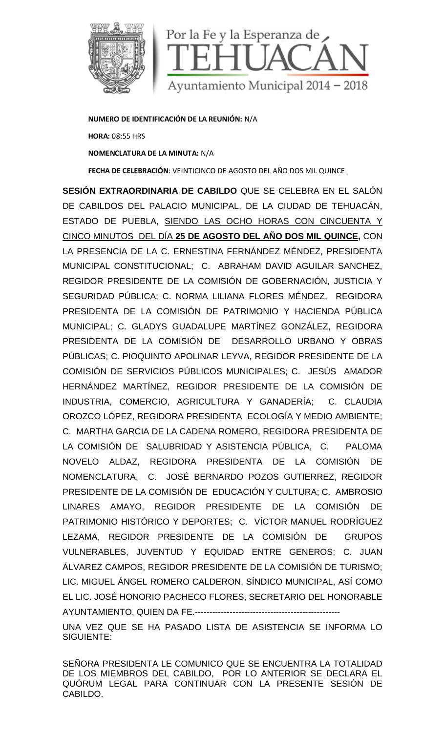

**NUMERO DE IDENTIFICACIÓN DE LA REUNIÓN:** N/A **HORA:** 08:55 HRS **NOMENCLATURA DE LA MINUTA:** N/A

**FECHA DE CELEBRACIÓN**: VEINTICINCO DE AGOSTO DEL AÑO DOS MIL QUINCE

**SESIÓN EXTRAORDINARIA DE CABILDO** QUE SE CELEBRA EN EL SALÓN DE CABILDOS DEL PALACIO MUNICIPAL, DE LA CIUDAD DE TEHUACÁN, ESTADO DE PUEBLA, SIENDO LAS OCHO HORAS CON CINCUENTA Y CINCO MINUTOS DEL DÍA **25 DE AGOSTO DEL AÑO DOS MIL QUINCE,** CON LA PRESENCIA DE LA C. ERNESTINA FERNÁNDEZ MÉNDEZ, PRESIDENTA MUNICIPAL CONSTITUCIONAL; C. ABRAHAM DAVID AGUILAR SANCHEZ, REGIDOR PRESIDENTE DE LA COMISIÓN DE GOBERNACIÓN, JUSTICIA Y SEGURIDAD PÚBLICA; C. NORMA LILIANA FLORES MÉNDEZ, REGIDORA PRESIDENTA DE LA COMISIÓN DE PATRIMONIO Y HACIENDA PÚBLICA MUNICIPAL; C. GLADYS GUADALUPE MARTÍNEZ GONZÁLEZ, REGIDORA PRESIDENTA DE LA COMISIÓN DE DESARROLLO URBANO Y OBRAS PÚBLICAS; C. PIOQUINTO APOLINAR LEYVA, REGIDOR PRESIDENTE DE LA COMISIÓN DE SERVICIOS PÚBLICOS MUNICIPALES; C. JESÚS AMADOR HERNÁNDEZ MARTÍNEZ, REGIDOR PRESIDENTE DE LA COMISIÓN DE INDUSTRIA, COMERCIO, AGRICULTURA Y GANADERÍA; C. CLAUDIA OROZCO LÓPEZ, REGIDORA PRESIDENTA ECOLOGÍA Y MEDIO AMBIENTE; C. MARTHA GARCIA DE LA CADENA ROMERO, REGIDORA PRESIDENTA DE LA COMISIÓN DE SALUBRIDAD Y ASISTENCIA PÚBLICA, C. PALOMA NOVELO ALDAZ, REGIDORA PRESIDENTA DE LA COMISIÓN DE NOMENCLATURA, C. JOSÉ BERNARDO POZOS GUTIERREZ, REGIDOR PRESIDENTE DE LA COMISIÓN DE EDUCACIÓN Y CULTURA; C. AMBROSIO LINARES AMAYO, REGIDOR PRESIDENTE DE LA COMISIÓN DE PATRIMONIO HISTÓRICO Y DEPORTES; C. VÍCTOR MANUEL RODRÍGUEZ LEZAMA, REGIDOR PRESIDENTE DE LA COMISIÓN DE GRUPOS VULNERABLES, JUVENTUD Y EQUIDAD ENTRE GENEROS; C. JUAN ÁLVAREZ CAMPOS, REGIDOR PRESIDENTE DE LA COMISIÓN DE TURISMO; LIC. MIGUEL ÁNGEL ROMERO CALDERON, SÍNDICO MUNICIPAL, ASÍ COMO EL LIC. JOSÉ HONORIO PACHECO FLORES, SECRETARIO DEL HONORABLE AYUNTAMIENTO, QUIEN DA FE.--------------------------------------------------

UNA VEZ QUE SE HA PASADO LISTA DE ASISTENCIA SE INFORMA LO SIGUIENTE:

SEÑORA PRESIDENTA LE COMUNICO QUE SE ENCUENTRA LA TOTALIDAD DE LOS MIEMBROS DEL CABILDO, POR LO ANTERIOR SE DECLARA EL QUÓRUM LEGAL PARA CONTINUAR CON LA PRESENTE SESIÓN DE CABILDO.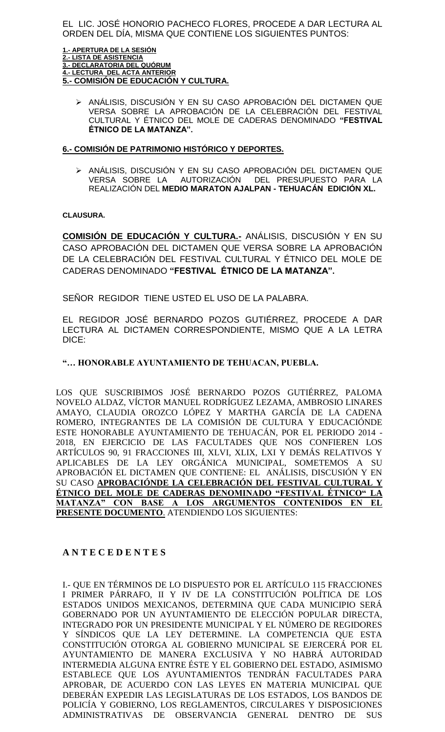EL LIC. JOSÉ HONORIO PACHECO FLORES, PROCEDE A DAR LECTURA AL ORDEN DEL DÍA, MISMA QUE CONTIENE LOS SIGUIENTES PUNTOS:

**1.- APERTURA DE LA SESIÓN 2.- LISTA DE ASISTENCIA 3.- DECLARATORIA DEL QUÓRUM 4.- LECTURA DEL ACTA ANTERIOR 5.- COMISIÓN DE EDUCACIÓN Y CULTURA.**

≻ ANÁLISIS, DISCUSIÓN Y EN SU CASO APROBACIÓN DEL DICTAMEN QUE VERSA SOBRE LA APROBACIÓN DE LA CELEBRACIÓN DEL FESTIVAL CULTURAL Y ÉTNICO DEL MOLE DE CADERAS DENOMINADO **"FESTIVAL ÉTNICO DE LA MATANZA".**

#### **6.- COMISIÓN DE PATRIMONIO HISTÓRICO Y DEPORTES.**

 ANÁLISIS, DISCUSIÓN Y EN SU CASO APROBACIÓN DEL DICTAMEN QUE VERSA SOBRE LA AUTORIZACIÓN DEL PRESUPUESTO PARA LA REALIZACIÓN DEL **MEDIO MARATON AJALPAN - TEHUACÁN EDICIÓN XL.**

### **CLAUSURA.**

**COMISIÓN DE EDUCACIÓN Y CULTURA.-** ANÁLISIS, DISCUSIÓN Y EN SU CASO APROBACIÓN DEL DICTAMEN QUE VERSA SOBRE LA APROBACIÓN DE LA CELEBRACIÓN DEL FESTIVAL CULTURAL Y ÉTNICO DEL MOLE DE CADERAS DENOMINADO **"FESTIVAL ÉTNICO DE LA MATANZA".**

SEÑOR REGIDOR TIENE USTED EL USO DE LA PALABRA.

EL REGIDOR JOSÉ BERNARDO POZOS GUTIÉRREZ, PROCEDE A DAR LECTURA AL DICTAMEN CORRESPONDIENTE, MISMO QUE A LA LETRA DICE:

### **"… HONORABLE AYUNTAMIENTO DE TEHUACAN, PUEBLA.**

LOS QUE SUSCRIBIMOS JOSÉ BERNARDO POZOS GUTIÉRREZ, PALOMA NOVELO ALDAZ, VÍCTOR MANUEL RODRÍGUEZ LEZAMA, AMBROSIO LINARES AMAYO, CLAUDIA OROZCO LÓPEZ Y MARTHA GARCÍA DE LA CADENA ROMERO, INTEGRANTES DE LA COMISIÓN DE CULTURA Y EDUCACIÓNDE ESTE HONORABLE AYUNTAMIENTO DE TEHUACÁN, POR EL PERIODO 2014 - 2018, EN EJERCICIO DE LAS FACULTADES QUE NOS CONFIEREN LOS ARTÍCULOS 90, 91 FRACCIONES III, XLVI, XLIX, LXI Y DEMÁS RELATIVOS Y APLICABLES DE LA LEY ORGÁNICA MUNICIPAL, SOMETEMOS A SU APROBACIÓN EL DICTAMEN QUE CONTIENE: EL ANÁLISIS, DISCUSIÓN Y EN SU CASO **APROBACIÓNDE LA CELEBRACIÓN DEL FESTIVAL CULTURAL Y ÉTNICO DEL MOLE DE CADERAS DENOMINADO "FESTIVAL ÉTNICO" LA MATANZA" CON BASE A LOS ARGUMENTOS CONTENIDOS EN EL PRESENTE DOCUMENTO**. ATENDIENDO LOS SIGUIENTES:

# **A N T E C E D E N T E S**

I.- QUE EN TÉRMINOS DE LO DISPUESTO POR EL ARTÍCULO 115 FRACCIONES I PRIMER PÁRRAFO, II Y IV DE LA CONSTITUCIÓN POLÍTICA DE LOS ESTADOS UNIDOS MEXICANOS, DETERMINA QUE CADA MUNICIPIO SERÁ GOBERNADO POR UN AYUNTAMIENTO DE ELECCIÓN POPULAR DIRECTA, INTEGRADO POR UN PRESIDENTE MUNICIPAL Y EL NÚMERO DE REGIDORES Y SÍNDICOS QUE LA LEY DETERMINE. LA COMPETENCIA QUE ESTA CONSTITUCIÓN OTORGA AL GOBIERNO MUNICIPAL SE EJERCERÁ POR EL AYUNTAMIENTO DE MANERA EXCLUSIVA Y NO HABRÁ AUTORIDAD INTERMEDIA ALGUNA ENTRE ÉSTE Y EL GOBIERNO DEL ESTADO, ASIMISMO ESTABLECE QUE LOS AYUNTAMIENTOS TENDRÁN FACULTADES PARA APROBAR, DE ACUERDO CON LAS LEYES EN MATERIA MUNICIPAL QUE DEBERÁN EXPEDIR LAS LEGISLATURAS DE LOS ESTADOS, LOS BANDOS DE POLICÍA Y GOBIERNO, LOS REGLAMENTOS, CIRCULARES Y DISPOSICIONES ADMINISTRATIVAS DE OBSERVANCIA GENERAL DENTRO DE SUS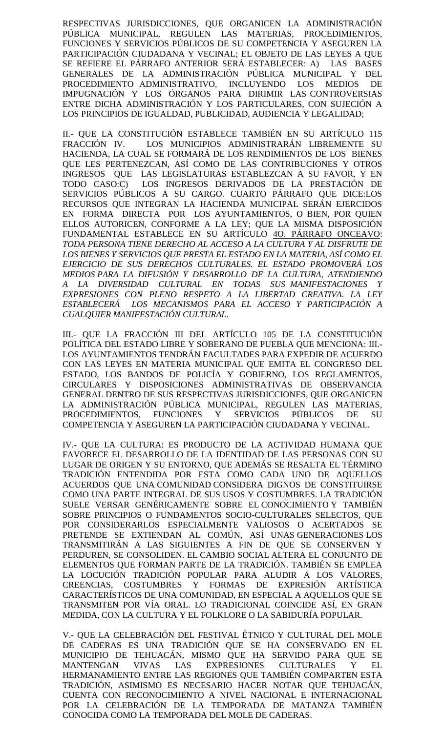RESPECTIVAS JURISDICCIONES, QUE ORGANICEN LA ADMINISTRACIÓN PÚBLICA MUNICIPAL, REGULEN LAS MATERIAS, PROCEDIMIENTOS, FUNCIONES Y SERVICIOS PÚBLICOS DE SU COMPETENCIA Y ASEGUREN LA PARTICIPACIÓN CIUDADANA Y VECINAL; EL OBJETO DE LAS LEYES A QUE SE REFIERE EL PÁRRAFO ANTERIOR SERÁ ESTABLECER: A) LAS BASES GENERALES DE LA ADMINISTRACIÓN PÚBLICA MUNICIPAL Y DEL PROCEDIMIENTO ADMINISTRATIVO, INCLUYENDO LOS MEDIOS DE IMPUGNACIÓN Y LOS ÓRGANOS PARA DIRIMIR LAS CONTROVERSIAS ENTRE DICHA ADMINISTRACIÓN Y LOS PARTICULARES, CON SUJECIÓN A LOS PRINCIPIOS DE IGUALDAD, PUBLICIDAD, AUDIENCIA Y LEGALIDAD;

II.- QUE LA CONSTITUCIÓN ESTABLECE TAMBIÉN EN SU ARTÍCULO 115 FRACCIÓN IV. LOS MUNICIPIOS ADMINISTRARÁN LIBREMENTE SU HACIENDA, LA CUAL SE FORMARÁ DE LOS RENDIMIENTOS DE LOS BIENES QUE LES PERTENEZCAN, ASÍ COMO DE LAS CONTRIBUCIONES Y OTROS INGRESOS QUE LAS LEGISLATURAS ESTABLEZCAN A SU FAVOR, Y EN TODO CASO:C) LOS INGRESOS DERIVADOS DE LA PRESTACIÓN DE SERVICIOS PÚBLICOS A SU CARGO. CUARTO PÁRRAFO QUE DICE:LOS RECURSOS QUE INTEGRAN LA HACIENDA MUNICIPAL SERÁN EJERCIDOS EN FORMA DIRECTA POR LOS AYUNTAMIENTOS, O BIEN, POR QUIEN ELLOS AUTORICEN, CONFORME A LA LEY; QUE LA MISMA DISPOSICIÓN FUNDAMENTAL ESTABLECE EN SU ARTÍCULO 4O. PÁRRAFO ONCEAVO: *TODA PERSONA TIENE DERECHO AL ACCESO A LA CULTURA Y AL DISFRUTE DE LOS BIENES Y SERVICIOS QUE PRESTA EL ESTADO EN LA MATERIA, ASÍ COMO EL EJERCICIO DE SUS DERECHOS CULTURALES. EL ESTADO PROMOVERÁ LOS MEDIOS PARA LA DIFUSIÓN Y DESARROLLO DE LA CULTURA, ATENDIENDO A LA DIVERSIDAD CULTURAL EN TODAS SUS MANIFESTACIONES Y EXPRESIONES CON PLENO RESPETO A LA LIBERTAD CREATIVA. LA LEY ESTABLECERÁ LOS MECANISMOS PARA EL ACCESO Y PARTICIPACIÓN A CUALQUIER MANIFESTACIÓN CULTURAL*.

III.- QUE LA FRACCIÓN III DEL ARTÍCULO 105 DE LA CONSTITUCIÓN POLÍTICA DEL ESTADO LIBRE Y SOBERANO DE PUEBLA QUE MENCIONA: III.- LOS AYUNTAMIENTOS TENDRÁN FACULTADES PARA EXPEDIR DE ACUERDO CON LAS LEYES EN MATERIA MUNICIPAL QUE EMITA EL CONGRESO DEL ESTADO, LOS BANDOS DE POLICÍA Y GOBIERNO, LOS REGLAMENTOS, CIRCULARES Y DISPOSICIONES ADMINISTRATIVAS DE OBSERVANCIA GENERAL DENTRO DE SUS RESPECTIVAS JURISDICCIONES, QUE ORGANICEN LA ADMINISTRACIÓN PÚBLICA MUNICIPAL, REGULEN LAS MATERIAS, PROCEDIMIENTOS, FUNCIONES Y SERVICIOS PÚBLICOS DE SU COMPETENCIA Y ASEGUREN LA PARTICIPACIÓN CIUDADANA Y VECINAL.

IV.- QUE LA CULTURA: ES PRODUCTO DE LA ACTIVIDAD HUMANA QUE FAVORECE EL DESARROLLO DE LA IDENTIDAD DE LAS PERSONAS CON SU LUGAR DE ORIGEN Y SU ENTORNO, QUE ADEMÁS SE RESALTA EL TÉRMINO TRADICIÓN ENTENDIDA POR ESTA COMO CADA UNO DE AQUELLOS ACUERDOS QUE UNA [COMUNIDAD](http://es.wikipedia.org/wiki/Comunidad) CONSIDERA DIGNOS DE CONSTITUIRSE COMO UNA PARTE INTEGRAL DE SUS [USOS Y COSTUMBRES.](http://es.wikipedia.org/wiki/Usos_y_costumbres) LA TRADICIÓN SUELE VERSAR GENÉRICAMENTE SOBRE EL [CONOCIMIENTO](http://es.wikipedia.org/wiki/Conocimiento) Y TAMBIÉN SOBRE PRINCIPIOS O FUNDAMENTOS SOCIO-CULTURALES SELECTOS, QUE POR CONSIDERARLOS ESPECIALMENTE VALIOSOS O ACERTADOS SE PRETENDE SE EXTIENDAN AL COMÚN, ASÍ UNAS [GENERACIONES](http://es.wikipedia.org/wiki/Generaciones) LOS TRANSMITIRÁN A LAS SIGUIENTES A FIN DE QUE SE CONSERVEN Y PERDUREN, SE CONSOLIDEN. EL [CAMBIO SOCIAL](http://es.wikipedia.org/wiki/Cambio_social) ALTERA EL CONJUNTO DE ELEMENTOS QUE FORMAN PARTE DE LA TRADICIÓN. TAMBIÉN SE EMPLEA LA LOCUCIÓN TRADICIÓN POPULAR PARA ALUDIR A LOS [VALORES,](http://es.wikipedia.org/wiki/Valor_(axiolog%C3%ADa)) [CREENCIAS,](http://es.wikipedia.org/wiki/Creencia) [COSTUMBRES](http://es.wikipedia.org/wiki/Costumbres) Y FORMAS DE EXPRESIÓN ARTÍSTICA CARACTERÍSTICOS DE UNA COMUNIDAD, EN ESPECIAL A AQUELLOS QUE SE TRANSMITEN POR VÍA ORAL. LO TRADICIONAL COINCIDE ASÍ, EN GRAN MEDIDA, CON LA [CULTURA](http://es.wikipedia.org/wiki/Cultura) Y EL [FOLKLORE](http://es.wikipedia.org/wiki/Folclore) O LA SABIDURÍA POPULAR.

V.- QUE LA CELEBRACIÓN DEL FESTIVAL ÉTNICO Y CULTURAL DEL MOLE DE CADERAS ES UNA TRADICIÓN QUE SE HA CONSERVADO EN EL MUNICIPIO DE TEHUACÁN, MISMO QUE HA SERVIDO PARA QUE SE MANTENGAN VIVAS LAS EXPRESIONES CULTURALES Y EL HERMANAMIENTO ENTRE LAS REGIONES QUE TAMBIÉN COMPARTEN ESTA TRADICIÓN, ASIMISMO ES NECESARIO HACER NOTAR QUE TEHUACÁN, CUENTA CON RECONOCIMIENTO A NIVEL NACIONAL E INTERNACIONAL POR LA CELEBRACIÓN DE LA TEMPORADA DE MATANZA TAMBIÉN CONOCIDA COMO LA TEMPORADA DEL MOLE DE CADERAS.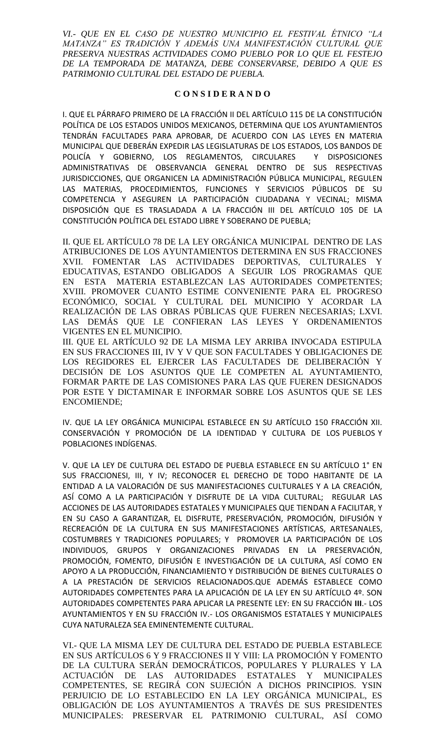*VI.- QUE EN EL CASO DE NUESTRO MUNICIPIO EL FESTIVAL ÉTNICO "LA MATANZA" ES TRADICIÓN Y ADEMÁS UNA MANIFESTACIÓN CULTURAL QUE PRESERVA NUESTRAS ACTIVIDADES COMO PUEBLO POR LO QUE EL FESTEJO DE LA TEMPORADA DE MATANZA, DEBE CONSERVARSE, DEBIDO A QUE ES PATRIMONIO CULTURAL DEL ESTADO DE PUEBLA.*

#### **C O N S I D E R A N D O**

I. QUE EL PÁRRAFO PRIMERO DE LA FRACCIÓN II DEL ARTÍCULO 115 DE LA CONSTITUCIÓN POLÍTICA DE LOS ESTADOS UNIDOS MEXICANOS, DETERMINA QUE LOS AYUNTAMIENTOS TENDRÁN FACULTADES PARA APROBAR, DE ACUERDO CON LAS LEYES EN MATERIA MUNICIPAL QUE DEBERÁN EXPEDIR LAS LEGISLATURAS DE LOS ESTADOS, LOS BANDOS DE POLICÍA Y GOBIERNO, LOS REGLAMENTOS, CIRCULARES Y DISPOSICIONES ADMINISTRATIVAS DE OBSERVANCIA GENERAL DENTRO DE SUS RESPECTIVAS JURISDICCIONES, QUE ORGANICEN LA ADMINISTRACIÓN PÚBLICA MUNICIPAL, REGULEN LAS MATERIAS, PROCEDIMIENTOS, FUNCIONES Y SERVICIOS PÚBLICOS DE SU COMPETENCIA Y ASEGUREN LA PARTICIPACIÓN CIUDADANA Y VECINAL; MISMA DISPOSICIÓN QUE ES TRASLADADA A LA FRACCIÓN III DEL ARTÍCULO 105 DE LA CONSTITUCIÓN POLÍTICA DEL ESTADO LIBRE Y SOBERANO DE PUEBLA;

II. QUE EL ARTÍCULO 78 DE LA LEY ORGÁNICA MUNICIPAL DENTRO DE LAS ATRIBUCIONES DE LOS AYUNTAMIENTOS DETERMINA EN SUS FRACCIONES XVII. FOMENTAR LAS ACTIVIDADES DEPORTIVAS, CULTURALES Y EDUCATIVAS, ESTANDO OBLIGADOS A SEGUIR LOS PROGRAMAS QUE EN ESTA MATERIA ESTABLEZCAN LAS AUTORIDADES COMPETENTES; XVIII. PROMOVER CUANTO ESTIME CONVENIENTE PARA EL PROGRESO ECONÓMICO, SOCIAL Y CULTURAL DEL MUNICIPIO Y ACORDAR LA REALIZACIÓN DE LAS OBRAS PÚBLICAS QUE FUEREN NECESARIAS; LXVI. LAS DEMÁS QUE LE CONFIERAN LAS LEYES Y ORDENAMIENTOS VIGENTES EN EL MUNICIPIO.

III. QUE EL ARTÍCULO 92 DE LA MISMA LEY ARRIBA INVOCADA ESTIPULA EN SUS FRACCIONES III, IV Y V QUE SON FACULTADES Y OBLIGACIONES DE LOS REGIDORES EL EJERCER LAS FACULTADES DE DELIBERACIÓN Y DECISIÓN DE LOS ASUNTOS QUE LE COMPETEN AL AYUNTAMIENTO, FORMAR PARTE DE LAS COMISIONES PARA LAS QUE FUEREN DESIGNADOS POR ESTE Y DICTAMINAR E INFORMAR SOBRE LOS ASUNTOS QUE SE LES ENCOMIENDE;

IV. QUE LA LEY ORGÁNICA MUNICIPAL ESTABLECE EN SU ARTÍCULO 150 FRACCIÓN XII. CONSERVACIÓN Y PROMOCIÓN DE LA IDENTIDAD Y CULTURA DE LOS PUEBLOS Y POBLACIONES INDÍGENAS.

V. QUE LA LEY DE CULTURA DEL ESTADO DE PUEBLA ESTABLECE EN SU ARTÍCULO 1° EN SUS FRACCIONESI, III, Y IV; RECONOCER EL DERECHO DE TODO HABITANTE DE LA ENTIDAD A LA VALORACIÓN DE SUS MANIFESTACIONES CULTURALES Y A LA CREACIÓN, ASÍ COMO A LA PARTICIPACIÓN Y DISFRUTE DE LA VIDA CULTURAL; REGULAR LAS ACCIONES DE LAS AUTORIDADES ESTATALES Y MUNICIPALES QUE TIENDAN A FACILITAR, Y EN SU CASO A GARANTIZAR, EL DISFRUTE, PRESERVACIÓN, PROMOCIÓN, DIFUSIÓN Y RECREACIÓN DE LA CULTURA EN SUS MANIFESTACIONES ARTÍSTICAS, ARTESANALES, COSTUMBRES Y TRADICIONES POPULARES; Y PROMOVER LA PARTICIPACIÓN DE LOS INDIVIDUOS, GRUPOS Y ORGANIZACIONES PRIVADAS EN LA PRESERVACIÓN, PROMOCIÓN, FOMENTO, DIFUSIÓN E INVESTIGACIÓN DE LA CULTURA, ASÍ COMO EN APOYO A LA PRODUCCIÓN, FINANCIAMIENTO Y DISTRIBUCIÓN DE BIENES CULTURALES O A LA PRESTACIÓN DE SERVICIOS RELACIONADOS.QUE ADEMÁS ESTABLECE COMO AUTORIDADES COMPETENTES PARA LA APLICACIÓN DE LA LEY EN SU ARTÍCULO 4º. SON AUTORIDADES COMPETENTES PARA APLICAR LA PRESENTE LEY: EN SU FRACCIÓN **III**.- LOS AYUNTAMIENTOS Y EN SU FRACCIÓN IV.- LOS ORGANISMOS ESTATALES Y MUNICIPALES CUYA NATURALEZA SEA EMINENTEMENTE CULTURAL.

VI.- QUE LA MISMA LEY DE CULTURA DEL ESTADO DE PUEBLA ESTABLECE EN SUS ARTÍCULOS 6 Y 9 FRACCIONES II Y VIII: LA PROMOCIÓN Y FOMENTO DE LA CULTURA SERÁN DEMOCRÁTICOS, POPULARES Y PLURALES Y LA ACTUACIÓN DE LAS AUTORIDADES ESTATALES Y MUNICIPALES COMPETENTES, SE REGIRÁ CON SUJECIÓN A DICHOS PRINCIPIOS. YSIN PERJUICIO DE LO ESTABLECIDO EN LA LEY ORGÁNICA MUNICIPAL, ES OBLIGACIÓN DE LOS AYUNTAMIENTOS A TRAVÉS DE SUS PRESIDENTES MUNICIPALES: PRESERVAR EL PATRIMONIO CULTURAL, ASÍ COMO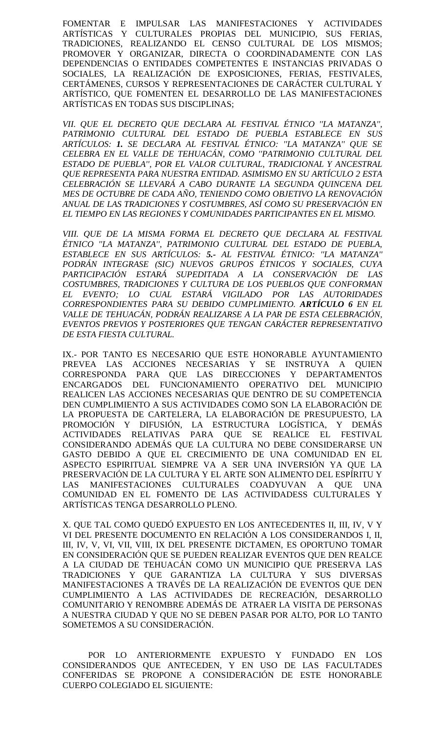FOMENTAR E IMPULSAR LAS MANIFESTACIONES Y ACTIVIDADES ARTÍSTICAS Y CULTURALES PROPIAS DEL MUNICIPIO, SUS FERIAS, TRADICIONES, REALIZANDO EL CENSO CULTURAL DE LOS MISMOS; PROMOVER Y ORGANIZAR, DIRECTA O COORDINADAMENTE CON LAS DEPENDENCIAS O ENTIDADES COMPETENTES E INSTANCIAS PRIVADAS O SOCIALES, LA REALIZACIÓN DE EXPOSICIONES, FERIAS, FESTIVALES, CERTÁMENES, CURSOS Y REPRESENTACIONES DE CARÁCTER CULTURAL Y ARTÍSTICO, QUE FOMENTEN EL DESARROLLO DE LAS MANIFESTACIONES ARTÍSTICAS EN TODAS SUS DISCIPLINAS;

*VII. QUE EL DECRETO QUE DECLARA AL FESTIVAL ÉTNICO ''LA MATANZA'', PATRIMONIO CULTURAL DEL ESTADO DE PUEBLA ESTABLECE EN SUS ARTÍCULOS: 1. SE DECLARA AL FESTIVAL ÉTNICO: ''LA MATANZA'' QUE SE CELEBRA EN EL VALLE DE TEHUACÁN, COMO ''PATRIMONIO CULTURAL DEL ESTADO DE PUEBLA'', POR EL VALOR CULTURAL, TRADICIONAL Y ANCESTRAL QUE REPRESENTA PARA NUESTRA ENTIDAD. ASIMISMO EN SU ARTÍCULO 2 ESTA CELEBRACIÓN SE LLEVARÁ A CABO DURANTE LA SEGUNDA QUINCENA DEL MES DE OCTUBRE DE CADA AÑO, TENIENDO COMO OBJETIVO LA RENOVACIÓN ANUAL DE LAS TRADICIONES Y COSTUMBRES, ASÍ COMO SU PRESERVACIÓN EN EL TIEMPO EN LAS REGIONES Y COMUNIDADES PARTICIPANTES EN EL MISMO.*

*VIII. QUE DE LA MISMA FORMA EL DECRETO QUE DECLARA AL FESTIVAL ÉTNICO ''LA MATANZA'', PATRIMONIO CULTURAL DEL ESTADO DE PUEBLA, ESTABLECE EN SUS ARTÍCULOS: 5.- AL FESTIVAL ÉTNICO: ''LA MATANZA'' PODRÁN INTEGRASE (SIC) NUEVOS GRUPOS ÉTNICOS Y SOCIALES, CUYA PARTICIPACIÓN ESTARÁ SUPEDITADA A LA CONSERVACIÓN DE LAS COSTUMBRES, TRADICIONES Y CULTURA DE LOS PUEBLOS QUE CONFORMAN EL EVENTO; LO CUAL ESTARÁ VIGILADO POR LAS AUTORIDADES CORRESPONDIENTES PARA SU DEBIDO CUMPLIMIENTO. ARTÍCULO 6 EN EL VALLE DE TEHUACÁN, PODRÁN REALIZARSE A LA PAR DE ESTA CELEBRACIÓN, EVENTOS PREVIOS Y POSTERIORES QUE TENGAN CARÁCTER REPRESENTATIVO DE ESTA FIESTA CULTURAL.*

IX.- POR TANTO ES NECESARIO QUE ESTE HONORABLE AYUNTAMIENTO PREVEA LAS ACCIONES NECESARIAS Y SE INSTRUYA A QUIEN CORRESPONDA PARA QUE LAS DIRECCIONES Y DEPARTAMENTOS ENCARGADOS DEL FUNCIONAMIENTO OPERATIVO DEL MUNICIPIO REALICEN LAS ACCIONES NECESARIAS QUE DENTRO DE SU COMPETENCIA DEN CUMPLIMIENTO A SUS ACTIVIDADES COMO SON LA ELABORACIÓN DE LA PROPUESTA DE CARTELERA, LA ELABORACIÓN DE PRESUPUESTO, LA PROMOCIÓN Y DIFUSIÓN, LA ESTRUCTURA LOGÍSTICA, Y DEMÁS ACTIVIDADES RELATIVAS PARA QUE SE REALICE EL FESTIVAL CONSIDERANDO ADEMÁS QUE LA CULTURA NO DEBE CONSIDERARSE UN GASTO DEBIDO A QUE EL CRECIMIENTO DE UNA COMUNIDAD EN EL ASPECTO ESPIRITUAL SIEMPRE VA A SER UNA INVERSIÓN YA QUE LA PRESERVACIÓN DE LA CULTURA Y EL ARTE SON ALIMENTO DEL ESPÍRITU Y LAS MANIFESTACIONES CULTURALES COADYUVAN A QUE UNA COMUNIDAD EN EL FOMENTO DE LAS ACTIVIDADESS CULTURALES Y ARTÍSTICAS TENGA DESARROLLO PLENO.

X. QUE TAL COMO QUEDÓ EXPUESTO EN LOS ANTECEDENTES II, III, IV, V Y VI DEL PRESENTE DOCUMENTO EN RELACIÓN A LOS CONSIDERANDOS I, II, III, IV, V, VI, VII, VIII, IX DEL PRESENTE DICTAMEN, ES OPORTUNO TOMAR EN CONSIDERACIÓN QUE SE PUEDEN REALIZAR EVENTOS QUE DEN REALCE A LA CIUDAD DE TEHUACÁN COMO UN MUNICIPIO QUE PRESERVA LAS TRADICIONES Y QUE GARANTIZA LA CULTURA Y SUS DIVERSAS MANIFESTACIONES A TRAVÉS DE LA REALIZACIÓN DE EVENTOS QUE DEN CUMPLIMIENTO A LAS ACTIVIDADES DE RECREACIÓN, DESARROLLO COMUNITARIO Y RENOMBRE ADEMÁS DE ATRAER LA VISITA DE PERSONAS A NUESTRA CIUDAD Y QUE NO SE DEBEN PASAR POR ALTO, POR LO TANTO SOMETEMOS A SU CONSIDERACIÓN.

POR LO ANTERIORMENTE EXPUESTO Y FUNDADO EN LOS CONSIDERANDOS QUE ANTECEDEN, Y EN USO DE LAS FACULTADES CONFERIDAS SE PROPONE A CONSIDERACIÓN DE ESTE HONORABLE CUERPO COLEGIADO EL SIGUIENTE: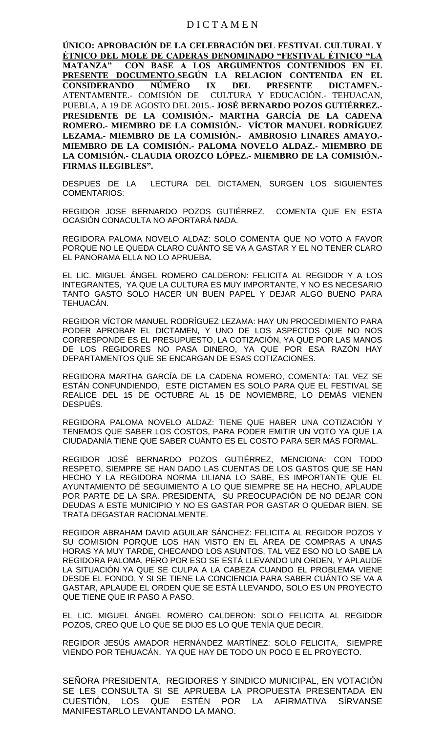### D I C T A M E N

**ÚNICO: APROBACIÓN DE LA CELEBRACIÓN DEL FESTIVAL CULTURAL Y ÉTNICO DEL MOLE DE CADERAS DENOMINADO "FESTIVAL ÉTNICO "LA MATANZA" CON BASE A LOS ARGUMENTOS CONTENIDOS EN EL PRESENTE DOCUMENTO**.**SEGÚN LA RELACION CONTENIDA EN EL CONSIDERANDO NÚMERO IX DEL PRESENTE DICTAMEN.-** ATENTAMENTE.- COMISIÓN DE CULTURA Y EDUCACIÓN.- TEHUACAN, PUEBLA, A 19 DE AGOSTO DEL 2015.- **JOSÉ BERNARDO POZOS GUTIÉRREZ.- PRESIDENTE DE LA COMISIÓN.- MARTHA GARCÍA DE LA CADENA ROMERO.- MIEMBRO DE LA COMISIÓN.- VÍCTOR MANUEL RODRÍGUEZ LEZAMA.- MIEMBRO DE LA COMISIÓN.- AMBROSIO LINARES AMAYO.- MIEMBRO DE LA COMISIÓN.- PALOMA NOVELO ALDAZ.- MIEMBRO DE LA COMISIÓN.- CLAUDIA OROZCO LÓPEZ.- MIEMBRO DE LA COMISIÓN.- FIRMAS ILEGIBLES".**

DESPUES DE LA LECTURA DEL DICTAMEN, SURGEN LOS SIGUIENTES COMENTARIOS:

REGIDOR JOSE BERNARDO POZOS GUTIÉRREZ, COMENTA QUE EN ESTA OCASIÓN CONACULTA NO APORTARÁ NADA.

REGIDORA PALOMA NOVELO ALDAZ: SOLO COMENTA QUE NO VOTO A FAVOR PORQUE NO LE QUEDA CLARO CUÁNTO SE VA A GASTAR Y EL NO TENER CLARO EL PANORAMA ELLA NO LO APRUEBA.

EL LIC. MIGUEL ÁNGEL ROMERO CALDERON: FELICITA AL REGIDOR Y A LOS INTEGRANTES, YA QUE LA CULTURA ES MUY IMPORTANTE, Y NO ES NECESARIO TANTO GASTO SOLO HACER UN BUEN PAPEL Y DEJAR ALGO BUENO PARA TEHUACÁN.

REGIDOR VÍCTOR MANUEL RODRÍGUEZ LEZAMA: HAY UN PROCEDIMIENTO PARA PODER APROBAR EL DICTAMEN, Y UNO DE LOS ASPECTOS QUE NO NOS CORRESPONDE ES EL PRESUPUESTO, LA COTIZACIÓN, YA QUE POR LAS MANOS DE LOS REGIDORES NO PASA DINERO, YA QUE POR ESA RAZÓN HAY DEPARTAMENTOS QUE SE ENCARGAN DE ESAS COTIZACIONES.

REGIDORA MARTHA GARCÍA DE LA CADENA ROMERO, COMENTA: TAL VEZ SE ESTÁN CONFUNDIENDO, ESTE DICTAMEN ES SOLO PARA QUE EL FESTIVAL SE REALICE DEL 15 DE OCTUBRE AL 15 DE NOVIEMBRE, LO DEMÁS VIENEN DESPUÉS.

REGIDORA PALOMA NOVELO ALDAZ: TIENE QUE HABER UNA COTIZACIÓN Y TENEMOS QUE SABER LOS COSTOS, PARA PODER EMITIR UN VOTO YA QUE LA CIUDADANÍA TIENE QUE SABER CUÁNTO ES EL COSTO PARA SER MÁS FORMAL.

REGIDOR JOSÉ BERNARDO POZOS GUTIÉRREZ, MENCIONA: CON TODO RESPETO, SIEMPRE SE HAN DADO LAS CUENTAS DE LOS GASTOS QUE SE HAN HECHO Y LA REGIDORA NORMA LILIANA LO SABE, ES IMPORTANTE QUE EL AYUNTAMIENTO DÉ SEGUIMIENTO A LO QUE SIEMPRE SE HA HECHO, APLAUDE POR PARTE DE LA SRA. PRESIDENTA, SU PREOCUPACIÓN DE NO DEJAR CON DEUDAS A ESTE MUNICIPIO Y NO ES GASTAR POR GASTAR O QUEDAR BIEN, SE TRATA DEGASTAR RACIONALMENTE.

REGIDOR ABRAHAM DAVID AGUILAR SÁNCHEZ: FELICITA AL REGIDOR POZOS Y SU COMISIÓN PORQUE LOS HAN VISTO EN EL ÁREA DE COMPRAS A UNAS HORAS YA MUY TARDE, CHECANDO LOS ASUNTOS, TAL VEZ ESO NO LO SABE LA REGIDORA PALOMA, PERO POR ESO SE ESTÁ LLEVANDO UN ORDEN, Y APLAUDE LA SITUACIÓN YA QUE SE CULPA A LA CABEZA CUANDO EL PROBLEMA VIENE DESDE EL FONDO, Y SI SE TIENE LA CONCIENCIA PARA SABER CUÁNTO SE VA A GASTAR, APLAUDE EL ORDEN QUE SE ESTÁ LLEVANDO, SOLO ES UN PROYECTO QUE TIENE QUE IR PASO A PASO.

EL LIC. MIGUEL ÁNGEL ROMERO CALDERON: SOLO FELICITA AL REGIDOR POZOS, CREO QUE LO QUE SE DIJO ES LO QUE TENÍA QUE DECIR.

REGIDOR JESÚS AMADOR HERNÁNDEZ MARTÍNEZ: SOLO FELICITA, SIEMPRE VIENDO POR TEHUACÁN, YA QUE HAY DE TODO UN POCO E EL PROYECTO.

SEÑORA PRESIDENTA, REGIDORES Y SINDICO MUNICIPAL, EN VOTACIÓN SE LES CONSULTA SI SE APRUEBA LA PROPUESTA PRESENTADA EN CUESTIÓN, LOS QUE ESTÉN POR LA AFIRMATIVA SÍRVANSE MANIFESTARLO LEVANTANDO LA MANO.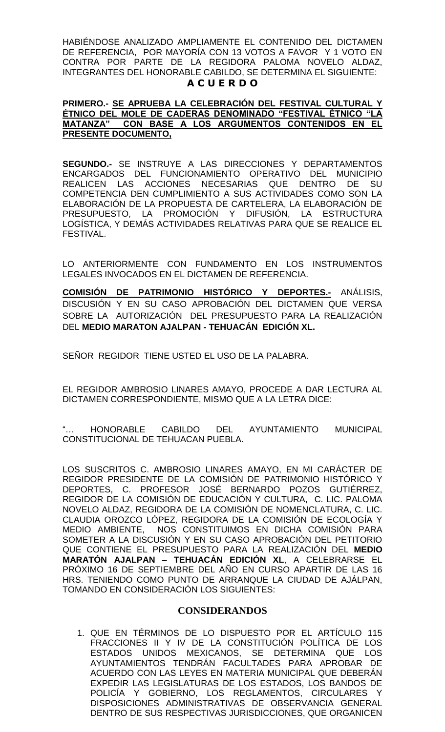HABIÉNDOSE ANALIZADO AMPLIAMENTE EL CONTENIDO DEL DICTAMEN DE REFERENCIA, POR MAYORÍA CON 13 VOTOS A FAVOR Y 1 VOTO EN CONTRA POR PARTE DE LA REGIDORA PALOMA NOVELO ALDAZ, INTEGRANTES DEL HONORABLE CABILDO, SE DETERMINA EL SIGUIENTE: **A C U E R D O**

### **PRIMERO.- SE APRUEBA LA CELEBRACIÓN DEL FESTIVAL CULTURAL Y ÉTNICO DEL MOLE DE CADERAS DENOMINADO "FESTIVAL ÉTNICO "LA MATANZA" CON BASE A LOS ARGUMENTOS CONTENIDOS EN EL PRESENTE DOCUMENTO,**

**SEGUNDO.-** SE INSTRUYE A LAS DIRECCIONES Y DEPARTAMENTOS ENCARGADOS DEL FUNCIONAMIENTO OPERATIVO DEL MUNICIPIO REALICEN LAS ACCIONES NECESARIAS QUE DENTRO DE SU COMPETENCIA DEN CUMPLIMIENTO A SUS ACTIVIDADES COMO SON LA ELABORACIÓN DE LA PROPUESTA DE CARTELERA, LA ELABORACIÓN DE PRESUPUESTO, LA PROMOCIÓN Y DIFUSIÓN, LA ESTRUCTURA LOGÍSTICA, Y DEMÁS ACTIVIDADES RELATIVAS PARA QUE SE REALICE EL FESTIVAL.

LO ANTERIORMENTE CON FUNDAMENTO EN LOS INSTRUMENTOS LEGALES INVOCADOS EN EL DICTAMEN DE REFERENCIA.

**COMISIÓN DE PATRIMONIO HISTÓRICO Y DEPORTES.-** ANÁLISIS, DISCUSIÓN Y EN SU CASO APROBACIÓN DEL DICTAMEN QUE VERSA SOBRE LA AUTORIZACIÓN DEL PRESUPUESTO PARA LA REALIZACIÓN DEL **MEDIO MARATON AJALPAN - TEHUACÁN EDICIÓN XL.**

SEÑOR REGIDOR TIENE USTED EL USO DE LA PALABRA.

EL REGIDOR AMBROSIO LINARES AMAYO, PROCEDE A DAR LECTURA AL DICTAMEN CORRESPONDIENTE, MISMO QUE A LA LETRA DICE:

"… HONORABLE CABILDO DEL AYUNTAMIENTO MUNICIPAL CONSTITUCIONAL DE TEHUACAN PUEBLA.

LOS SUSCRITOS C. AMBROSIO LINARES AMAYO, EN MI CARÁCTER DE REGIDOR PRESIDENTE DE LA COMISIÓN DE PATRIMONIO HISTÓRICO Y DEPORTES, C. PROFESOR JOSÉ BERNARDO POZOS GUTIÉRREZ, REGIDOR DE LA COMISIÓN DE EDUCACIÓN Y CULTURA, C. LIC. PALOMA NOVELO ALDAZ, REGIDORA DE LA COMISIÓN DE NOMENCLATURA, C. LIC. CLAUDIA OROZCO LÓPEZ, REGIDORA DE LA COMISIÓN DE ECOLOGÍA Y MEDIO AMBIENTE, NOS CONSTITUIMOS EN DICHA COMISIÓN PARA SOMETER A LA DISCUSIÓN Y EN SU CASO APROBACIÓN DEL PETITORIO QUE CONTIENE EL PRESUPUESTO PARA LA REALIZACIÓN DEL **MEDIO MARATÓN AJALPAN – TEHUACÁN EDICIÓN XL**, A CELEBRARSE EL PRÓXIMO 16 DE SEPTIEMBRE DEL AÑO EN CURSO APARTIR DE LAS 16 HRS. TENIENDO COMO PUNTO DE ARRANQUE LA CIUDAD DE AJÁLPAN, TOMANDO EN CONSIDERACIÓN LOS SIGUIENTES:

# **CONSIDERANDOS**

1. QUE EN TÉRMINOS DE LO DISPUESTO POR EL ARTÍCULO 115 FRACCIONES II Y IV DE LA CONSTITUCIÓN POLÍTICA DE LOS ESTADOS UNIDOS MEXICANOS, SE DETERMINA QUE LOS AYUNTAMIENTOS TENDRÁN FACULTADES PARA APROBAR DE ACUERDO CON LAS LEYES EN MATERIA MUNICIPAL QUE DEBERÁN EXPEDIR LAS LEGISLATURAS DE LOS ESTADOS, LOS BANDOS DE POLICÍA Y GOBIERNO, LOS REGLAMENTOS, CIRCULARES DISPOSICIONES ADMINISTRATIVAS DE OBSERVANCIA GENERAL DENTRO DE SUS RESPECTIVAS JURISDICCIONES, QUE ORGANICEN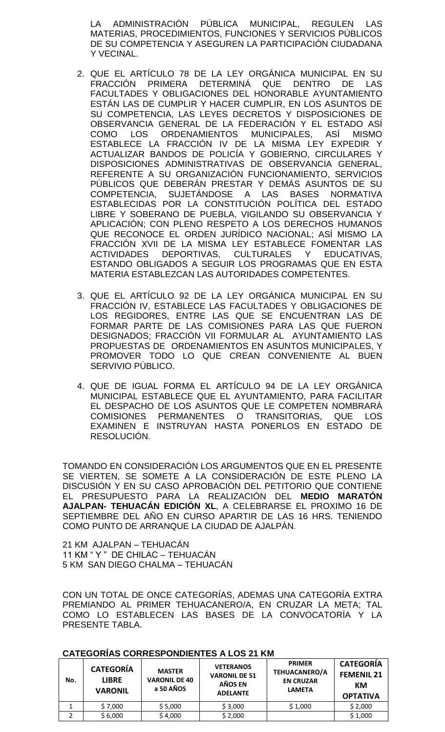LA ADMINISTRACIÓN PÚBLICA MUNICIPAL, REGULEN LAS MATERIAS, PROCEDIMIENTOS, FUNCIONES Y SERVICIOS PÚBLICOS DE SU COMPETENCIA Y ASEGUREN LA PARTICIPACIÓN CIUDADANA Y VECINAL.

- 2. QUE EL ARTÍCULO 78 DE LA LEY ORGÁNICA MUNICIPAL EN SU FRACCIÓN PRIMERA DETERMINÁ QUE DENTRO DE LAS FACULTADES Y OBLIGACIONES DEL HONORABLE AYUNTAMIENTO ESTÁN LAS DE CUMPLIR Y HACER CUMPLIR, EN LOS ASUNTOS DE SU COMPETENCIA, LAS LEYES DECRETOS Y DISPOSICIONES DE OBSERVANCIA GENERAL DE LA FEDERACIÓN Y EL ESTADO ASÍ COMO LOS ORDENAMIENTOS MUNICIPALES, ASÍ MISMO ESTABLECE LA FRACCIÓN IV DE LA MISMA LEY EXPEDIR Y ACTUALIZAR BANDOS DE POLICÍA Y GOBIERNO, CIRCULARES Y DISPOSICIONES ADMINISTRATIVAS DE OBSERVANCIA GENERAL, REFERENTE A SU ORGANIZACIÓN FUNCIONAMIENTO, SERVICIOS PÚBLICOS QUE DEBERÁN PRESTAR Y DEMÁS ASUNTOS DE SU COMPETENCIA, SUJETÁNDOSE A LAS BASES NORMATIVA ESTABLECIDAS POR LA CONSTITUCIÓN POLÍTICA DEL ESTADO LIBRE Y SOBERANO DE PUEBLA, VIGILANDO SU OBSERVANCIA Y APLICACIÓN; CON PLENO RESPETO A LOS DERECHOS HUMANOS QUE RECONOCE EL ORDEN JURÍDICO NACIONAL; ASÍ MISMO LA FRACCIÓN XVII DE LA MISMA LEY ESTABLECE FOMENTAR LAS ACTIVIDADES DEPORTIVAS, CULTURALES Y EDUCATIVAS, ESTANDO OBLIGADOS A SEGUIR LOS PROGRAMAS QUE EN ESTA MATERIA ESTABLEZCAN LAS AUTORIDADES COMPETENTES.
- 3. QUE EL ARTÍCULO 92 DE LA LEY ORGÁNICA MUNICIPAL EN SU FRACCIÓN IV, ESTABLECE LAS FACULTADES Y OBLIGACIONES DE LOS REGIDORES, ENTRE LAS QUE SE ENCUENTRAN LAS DE FORMAR PARTE DE LAS COMISIONES PARA LAS QUE FUERON DESIGNADOS; FRACCIÓN VII FORMULAR AL AYUNTAMIENTO LAS PROPUESTAS DE ORDENAMIENTOS EN ASUNTOS MUNICIPALES, Y PROMOVER TODO LO QUE CREAN CONVENIENTE AL BUEN SERVIVIO PÚBLICO.
- 4. QUE DE IGUAL FORMA EL ARTÍCULO 94 DE LA LEY ORGÁNICA MUNICIPAL ESTABLECE QUE EL AYUNTAMIENTO, PARA FACILITAR EL DESPACHO DE LOS ASUNTOS QUE LE COMPETEN NOMBRARÁ COMISIONES PERMANENTES O TRANSITORIAS, QUE LOS EXAMINEN E INSTRUYAN HASTA PONERLOS EN ESTADO DE RESOLUCIÓN.

TOMANDO EN CONSIDERACIÓN LOS ARGUMENTOS QUE EN EL PRESENTE SE VIERTEN, SE SOMETE A LA CONSIDERACIÓN DE ESTE PLENO LA DISCUSIÓN Y EN SU CASO APROBACIÓN DEL PETITORIO QUE CONTIENE EL PRESUPUESTO PARA LA REALIZACIÓN DEL **MEDIO MARATÓN AJALPAN- TEHUACÁN EDICIÓN XL**, A CELEBRARSE EL PROXIMO 16 DE SEPTIEMBRE DEL AÑO EN CURSO APARTIR DE LAS 16 HRS. TENIENDO COMO PUNTO DE ARRANQUE LA CIUDAD DE AJALPÁN.

21 KM AJALPAN – TEHUACÁN 11 KM " Y " DE CHILAC – TEHUACÁN 5 KM SAN DIEGO CHALMA – TEHUACÁN

CON UN TOTAL DE ONCE CATEGORÍAS, ADEMAS UNA CATEGORÍA EXTRA PREMIANDO AL PRIMER TEHUACANERO/A, EN CRUZAR LA META; TAL COMO LO ESTABLECEN LAS BASES DE LA CONVOCATORÍA Y LA PRESENTE TABLA.

| No. | <b>CATEGORÍA</b><br><b>LIBRE</b><br><b>VARONIL</b> | <b>MASTER</b><br><b>VARONIL DE 40</b><br>a 50 AÑOS | <b>VETERANOS</b><br><b>VARONIL DE 51</b><br>AÑOS EN<br><b>ADELANTE</b> | <b>PRIMER</b><br><b>TEHUACANERO/A</b><br><b>EN CRUZAR</b><br><b>LAMETA</b> | <b>CATEGORÍA</b><br><b>FEMENIL 21</b><br>КM<br><b>OPTATIVA</b> |
|-----|----------------------------------------------------|----------------------------------------------------|------------------------------------------------------------------------|----------------------------------------------------------------------------|----------------------------------------------------------------|
|     | \$7,000                                            | \$5,000                                            | \$3,000                                                                | \$1,000                                                                    | \$2,000                                                        |
|     | \$6,000                                            | \$4,000                                            | \$2,000                                                                |                                                                            | \$1,000                                                        |

# **CATEGORÍAS CORRESPONDIENTES A LOS 21 KM**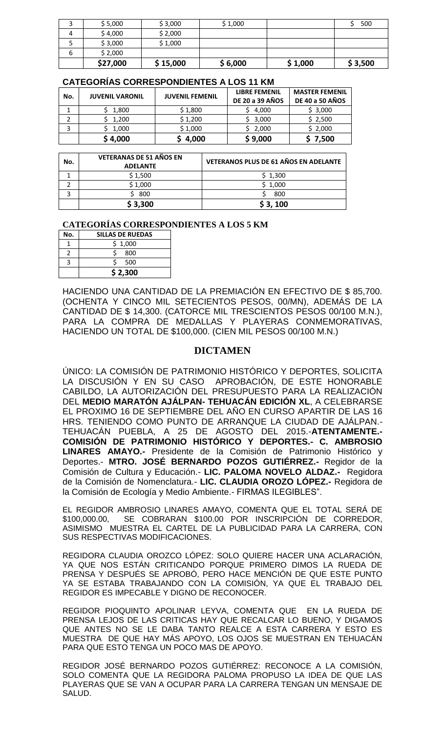| b | \$2,000<br>\$27,000 | \$15,000 | \$6,000 | \$1,000 | \$3,500 |
|---|---------------------|----------|---------|---------|---------|
|   | \$3,000             | \$1,000  |         |         |         |
| 4 | \$4,000             | \$2,000  |         |         |         |
|   | \$5,000             | \$3,000  | \$1,000 |         | 500     |

#### **CATEGORÍAS CORRESPONDIENTES A LOS 11 KM**

| No. | <b>JUVENIL VARONIL</b> | <b>JUVENIL FEMENIL</b> | <b>LIBRE FEMENIL</b><br><b>DE 20 a 39 AÑOS</b> | <b>MASTER FEMENIL</b><br><b>DE 40 a 50 AÑOS</b> |
|-----|------------------------|------------------------|------------------------------------------------|-------------------------------------------------|
|     | 1,800                  | \$1,800                | 4,000                                          | \$3,000                                         |
|     | 1,200                  | \$1,200                | 3,000                                          | \$2,500                                         |
| 3   | 1,000                  | \$1,000                | 2,000                                          | \$2,000                                         |
|     | \$4,000                | 4,000                  | \$9,000                                        | 7,500                                           |

| No. | <b>VETERANAS DE 51 AÑOS EN</b><br><b>ADELANTE</b> | VETERANOS PLUS DE 61 AÑOS EN ADELANTE |
|-----|---------------------------------------------------|---------------------------------------|
|     | \$1,500                                           | \$1,300                               |
|     | \$1,000                                           | \$1,000                               |
|     | 800                                               | 800                                   |
|     | \$3,300                                           | \$3,100                               |

#### **CATEGORÍAS CORRESPONDIENTES A LOS 5 KM**

| No. | <b>SILLAS DE RUEDAS</b> |
|-----|-------------------------|
|     | \$1,000                 |
|     | 800                     |
|     | 500                     |
|     | \$2,300                 |

HACIENDO UNA CANTIDAD DE LA PREMIACIÓN EN EFECTIVO DE \$ 85,700. (OCHENTA Y CINCO MIL SETECIENTOS PESOS, 00/MN), ADEMÁS DE LA CANTIDAD DE \$ 14,300. (CATORCE MIL TRESCIENTOS PESOS 00/100 M.N.), PARA LA COMPRA DE MEDALLAS Y PLAYERAS CONMEMORATIVAS, HACIENDO UN TOTAL DE \$100,000. (CIEN MIL PESOS 00/100 M.N.)

# **DICTAMEN**

ÚNICO: LA COMISIÓN DE PATRIMONIO HISTÓRICO Y DEPORTES, SOLICITA LA DISCUSIÓN Y EN SU CASO APROBACIÓN, DE ESTE HONORABLE CABILDO, LA AUTORIZACIÓN DEL PRESUPUESTO PARA LA REALIZACIÓN DEL **MEDIO MARATÓN AJÁLPAN- TEHUACÁN EDICIÓN XL**, A CELEBRARSE EL PROXIMO 16 DE SEPTIEMBRE DEL AÑO EN CURSO APARTIR DE LAS 16 HRS. TENIENDO COMO PUNTO DE ARRANQUE LA CIUDAD DE AJÁLPAN.- TEHUACÁN PUEBLA, A 25 DE AGOSTO DEL 2015.-**ATENTAMENTE.- COMISIÓN DE PATRIMONIO HISTÓRICO Y DEPORTES.- C. AMBROSIO LINARES AMAYO.-** Presidente de la Comisión de Patrimonio Histórico y Deportes.- **MTRO. JOSÉ BERNARDO POZOS GUTIÉRREZ.-** Regidor de la Comisión de Cultura y Educación.- **LIC. PALOMA NOVELO ALDAZ.-** Regidora de la Comisión de Nomenclatura.- **LIC. CLAUDIA OROZO LÓPEZ.-** Regidora de la Comisión de Ecología y Medio Ambiente.- FIRMAS ILEGIBLES".

EL REGIDOR AMBROSIO LINARES AMAYO, COMENTA QUE EL TOTAL SERÁ DE \$100,000.00, SE COBRARAN \$100.00 POR INSCRIPCIÓN DE CORREDOR, ASIMISMO MUESTRA EL CARTEL DE LA PUBLICIDAD PARA LA CARRERA, CON SUS RESPECTIVAS MODIFICACIONES.

REGIDORA CLAUDIA OROZCO LÓPEZ: SOLO QUIERE HACER UNA ACLARACIÓN, YA QUE NOS ESTÁN CRITICANDO PORQUE PRIMERO DIMOS LA RUEDA DE PRENSA Y DESPUÉS SE APROBÓ, PERO HACE MENCIÓN DE QUE ESTE PUNTO YA SE ESTABA TRABAJANDO CON LA COMISIÓN, YA QUE EL TRABAJO DEL REGIDOR ES IMPECABLE Y DIGNO DE RECONOCER.

REGIDOR PIOQUINTO APOLINAR LEYVA, COMENTA QUE EN LA RUEDA DE PRENSA LEJOS DE LAS CRITICAS HAY QUE RECALCAR LO BUENO, Y DIGAMOS QUE ANTES NO SE LE DABA TANTO REALCE A ESTA CARRERA Y ESTO ES MUESTRA DE QUE HAY MÁS APOYO, LOS OJOS SE MUESTRAN EN TEHUACÁN PARA QUE ESTO TENGA UN POCO MAS DE APOYO.

REGIDOR JOSÉ BERNARDO POZOS GUTIÉRREZ: RECONOCE A LA COMISIÓN, SOLO COMENTA QUE LA REGIDORA PALOMA PROPUSO LA IDEA DE QUE LAS PLAYERAS QUE SE VAN A OCUPAR PARA LA CARRERA TENGAN UN MENSAJE DE SALUD.